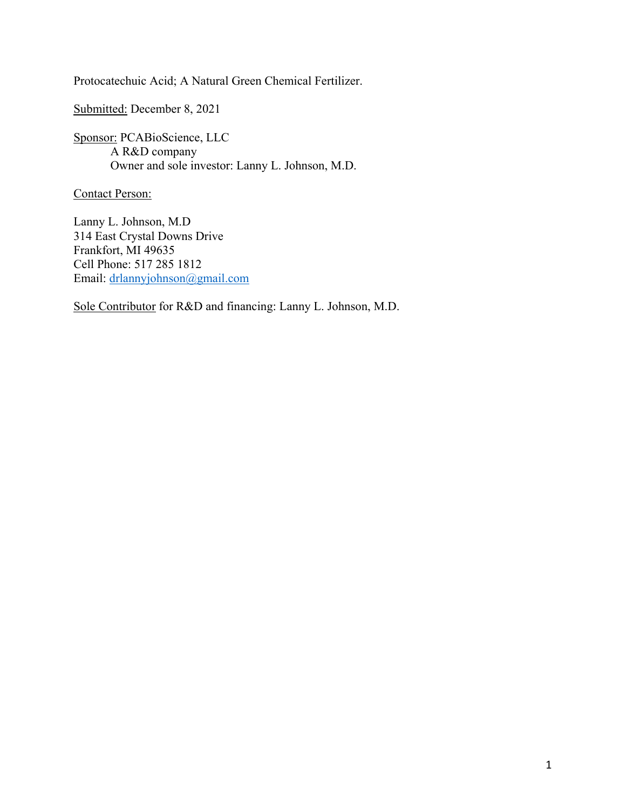Protocatechuic Acid; A Natural Green Chemical Fertilizer.

Submitted: December 8, 2021

Sponsor: PCABioScience, LLC A R&D company Owner and sole investor: Lanny L. Johnson, M.D.

Contact Person:

Lanny L. Johnson, M.D 314 East Crystal Downs Drive Frankfort, MI 49635 Cell Phone: 517 285 1812 Email: [drlannyjohnson@gmail.com](mailto:drlannyjohnson@gmail.com)

Sole Contributor for R&D and financing: Lanny L. Johnson, M.D.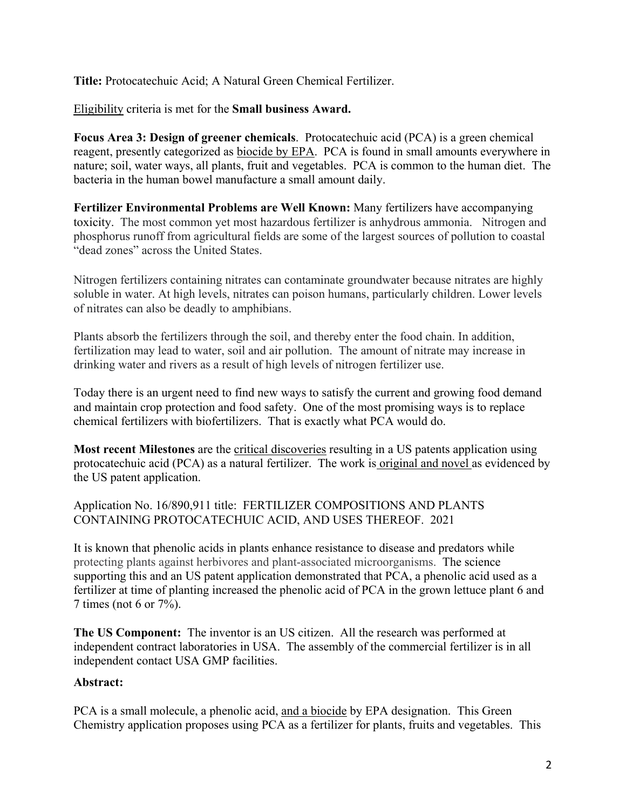**Title:** Protocatechuic Acid; A Natural Green Chemical Fertilizer.

Eligibility criteria is met for the **Small business Award.** 

**Focus Area 3: Design of greener chemicals**. Protocatechuic acid (PCA) is a green chemical reagent, presently categorized as biocide by EPA. PCA is found in small amounts everywhere in nature; soil, water ways, all plants, fruit and vegetables. PCA is common to the human diet. The bacteria in the human bowel manufacture a small amount daily.

**Fertilizer Environmental Problems are Well Known:** Many fertilizers have accompanying toxicity. The most common yet most hazardous fertilizer is anhydrous ammonia. Nitrogen and phosphorus runoff from agricultural fields are some of the largest sources of pollution to coastal "dead zones" across the United States.

Nitrogen fertilizers containing nitrates can contaminate groundwater because nitrates are highly soluble in water. At high levels, nitrates can poison humans, particularly children. Lower levels of nitrates can also be deadly to amphibians.

Plants absorb the fertilizers through the soil, and thereby enter the food chain. In addition, fertilization may lead to water, soil and air pollution. The amount of nitrate may increase in drinking water and rivers as a result of high levels of nitrogen fertilizer use.

Today there is an urgent need to find new ways to satisfy the current and growing food demand and maintain crop protection and food safety. One of the most promising ways is to replace chemical fertilizers with biofertilizers. That is exactly what PCA would do.

**Most recent Milestones** are the critical discoveries resulting in a US patents application using protocatechuic acid (PCA) as a natural fertilizer. The work is original and novel as evidenced by the US patent application.

Application No. 16/890,911 title: FERTILIZER COMPOSITIONS AND PLANTS CONTAINING PROTOCATECHUIC ACID, AND USES THEREOF. 2021

It is known that phenolic acids in plants enhance resistance to disease and predators while protecting plants against herbivores and plant-associated microorganisms. The science supporting this and an US patent application demonstrated that PCA, a phenolic acid used as a fertilizer at time of planting increased the phenolic acid of PCA in the grown lettuce plant 6 and 7 times (not 6 or 7%).

**The US Component:** The inventor is an US citizen. All the research was performed at independent contract laboratories in USA. The assembly of the commercial fertilizer is in all independent contact USA GMP facilities.

## **Abstract:**

PCA is a small molecule, a phenolic acid, and a biocide by EPA designation. This Green Chemistry application proposes using PCA as a fertilizer for plants, fruits and vegetables. This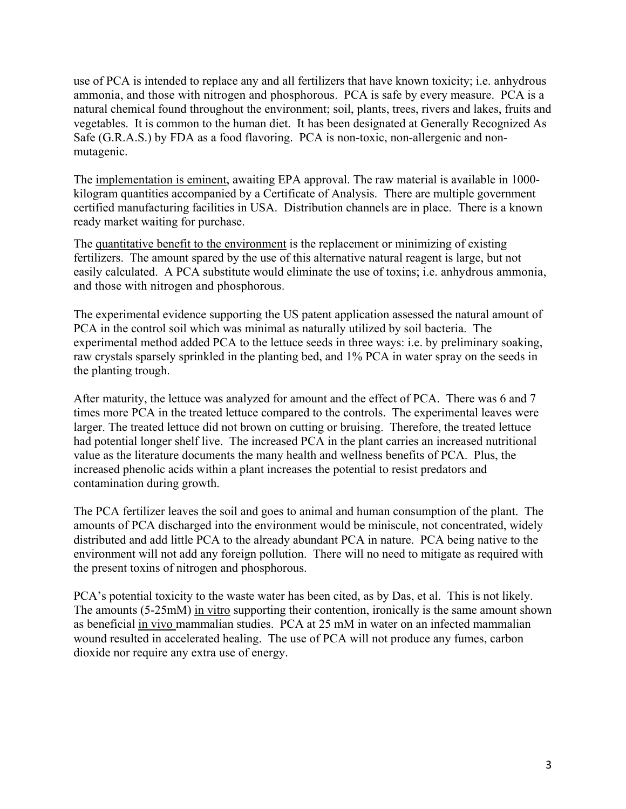use of PCA is intended to replace any and all fertilizers that have known toxicity; i.e. anhydrous ammonia, and those with nitrogen and phosphorous. PCA is safe by every measure. PCA is a natural chemical found throughout the environment; soil, plants, trees, rivers and lakes, fruits and vegetables. It is common to the human diet. It has been designated at Generally Recognized As Safe (G.R.A.S.) by FDA as a food flavoring. PCA is non-toxic, non-allergenic and nonmutagenic.

The implementation is eminent, awaiting EPA approval. The raw material is available in 1000 kilogram quantities accompanied by a Certificate of Analysis. There are multiple government certified manufacturing facilities in USA. Distribution channels are in place. There is a known ready market waiting for purchase.

The quantitative benefit to the environment is the replacement or minimizing of existing fertilizers. The amount spared by the use of this alternative natural reagent is large, but not easily calculated. A PCA substitute would eliminate the use of toxins; i.e. anhydrous ammonia, and those with nitrogen and phosphorous.

The experimental evidence supporting the US patent application assessed the natural amount of PCA in the control soil which was minimal as naturally utilized by soil bacteria. The experimental method added PCA to the lettuce seeds in three ways: i.e. by preliminary soaking, raw crystals sparsely sprinkled in the planting bed, and 1% PCA in water spray on the seeds in the planting trough.

After maturity, the lettuce was analyzed for amount and the effect of PCA. There was 6 and 7 times more PCA in the treated lettuce compared to the controls. The experimental leaves were larger. The treated lettuce did not brown on cutting or bruising. Therefore, the treated lettuce had potential longer shelf live. The increased PCA in the plant carries an increased nutritional value as the literature documents the many health and wellness benefits of PCA. Plus, the increased phenolic acids within a plant increases the potential to resist predators and contamination during growth.

The PCA fertilizer leaves the soil and goes to animal and human consumption of the plant. The amounts of PCA discharged into the environment would be miniscule, not concentrated, widely distributed and add little PCA to the already abundant PCA in nature. PCA being native to the environment will not add any foreign pollution. There will no need to mitigate as required with the present toxins of nitrogen and phosphorous.

PCA's potential toxicity to the waste water has been cited, as by Das, et al. This is not likely. The amounts (5-25mM) in vitro supporting their contention, ironically is the same amount shown as beneficial in vivo mammalian studies. PCA at 25 mM in water on an infected mammalian wound resulted in accelerated healing. The use of PCA will not produce any fumes, carbon dioxide nor require any extra use of energy.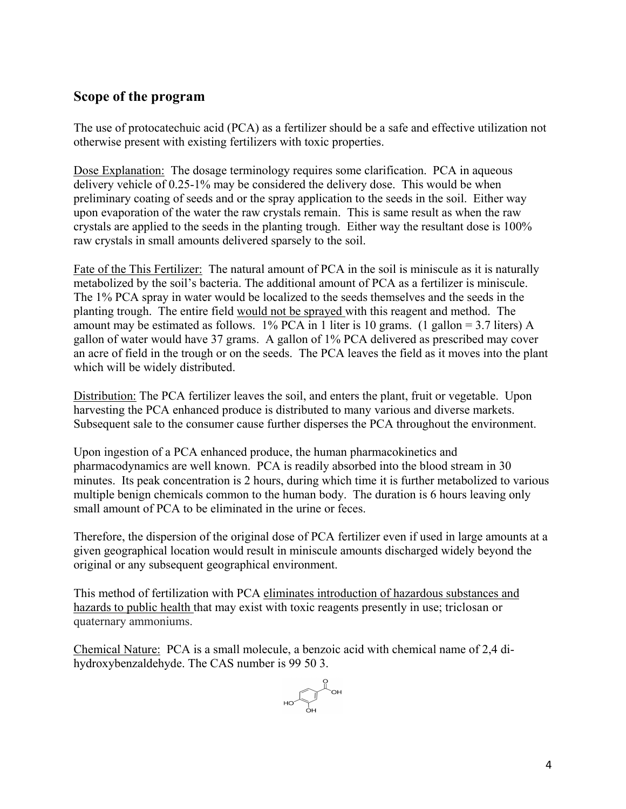## **Scope of the program**

The use of protocatechuic acid (PCA) as a fertilizer should be a safe and effective utilization not otherwise present with existing fertilizers with toxic properties.

Dose Explanation: The dosage terminology requires some clarification. PCA in aqueous delivery vehicle of 0.25-1% may be considered the delivery dose. This would be when preliminary coating of seeds and or the spray application to the seeds in the soil. Either way upon evaporation of the water the raw crystals remain. This is same result as when the raw crystals are applied to the seeds in the planting trough. Either way the resultant dose is 100% raw crystals in small amounts delivered sparsely to the soil.

Fate of the This Fertilizer: The natural amount of PCA in the soil is miniscule as it is naturally metabolized by the soil's bacteria. The additional amount of PCA as a fertilizer is miniscule. The 1% PCA spray in water would be localized to the seeds themselves and the seeds in the planting trough. The entire field would not be sprayed with this reagent and method. The amount may be estimated as follows.  $1\%$  PCA in 1 liter is 10 grams. (1 gallon = 3.7 liters) A gallon of water would have 37 grams. A gallon of 1% PCA delivered as prescribed may cover an acre of field in the trough or on the seeds. The PCA leaves the field as it moves into the plant which will be widely distributed.

Distribution: The PCA fertilizer leaves the soil, and enters the plant, fruit or vegetable. Upon harvesting the PCA enhanced produce is distributed to many various and diverse markets. Subsequent sale to the consumer cause further disperses the PCA throughout the environment.

Upon ingestion of a PCA enhanced produce, the human pharmacokinetics and pharmacodynamics are well known. PCA is readily absorbed into the blood stream in 30 minutes. Its peak concentration is 2 hours, during which time it is further metabolized to various multiple benign chemicals common to the human body. The duration is 6 hours leaving only small amount of PCA to be eliminated in the urine or feces.

Therefore, the dispersion of the original dose of PCA fertilizer even if used in large amounts at a given geographical location would result in miniscule amounts discharged widely beyond the original or any subsequent geographical environment.

This method of fertilization with PCA eliminates introduction of hazardous substances and hazards to public health that may exist with toxic reagents presently in use; triclosan or quaternary ammoniums.

Chemical Nature: PCA is a small molecule, a benzoic acid with chemical name of 2,4 dihydroxybenzaldehyde. The CAS number is 99 50 3.

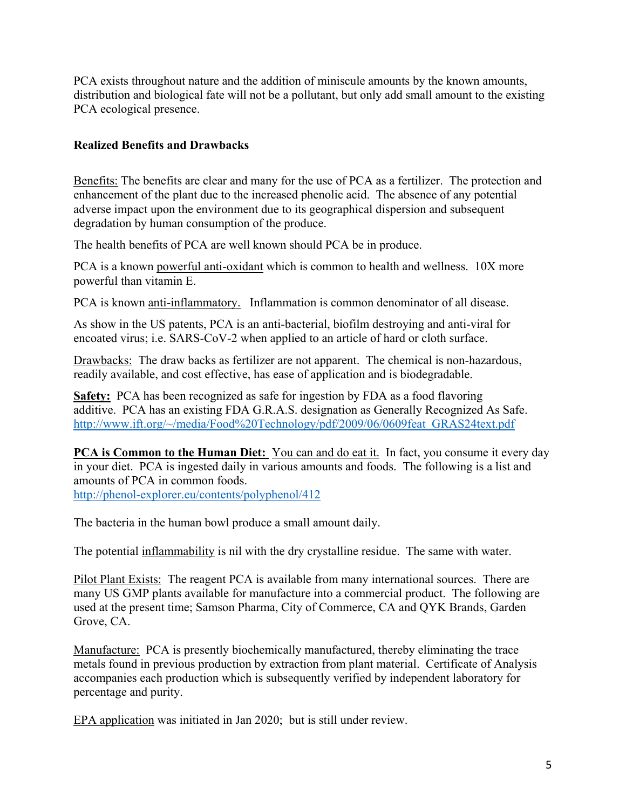PCA exists throughout nature and the addition of miniscule amounts by the known amounts, distribution and biological fate will not be a pollutant, but only add small amount to the existing PCA ecological presence.

## **Realized Benefits and Drawbacks**

Benefits: The benefits are clear and many for the use of PCA as a fertilizer. The protection and enhancement of the plant due to the increased phenolic acid. The absence of any potential adverse impact upon the environment due to its geographical dispersion and subsequent degradation by human consumption of the produce.

The health benefits of PCA are well known should PCA be in produce.

PCA is a known powerful anti-oxidant which is common to health and wellness. 10X more powerful than vitamin E.

PCA is known anti-inflammatory. Inflammation is common denominator of all disease.

As show in the US patents, PCA is an anti-bacterial, biofilm destroying and anti-viral for encoated virus; i.e. SARS-CoV-2 when applied to an article of hard or cloth surface.

Drawbacks: The draw backs as fertilizer are not apparent. The chemical is non-hazardous, readily available, and cost effective, has ease of application and is biodegradable.

**Safety:** PCA has been recognized as safe for ingestion by FDA as a food flavoring additive. PCA has an existing FDA G.R.A.S. designation as Generally Recognized As Safe. [http://www.ift.org/~/media/Food%20Technology/pdf/2009/06/0609feat\\_GRAS24text.pdf](http://www.ift.org/%7E/media/Food%20Technology/pdf/2009/06/0609feat_GRAS24text.pdf)

**PCA is Common to the Human Diet:** You can and do eat it. In fact, you consume it every day in your diet. PCA is ingested daily in various amounts and foods. The following is a list and amounts of PCA in common foods.

<http://phenol-explorer.eu/contents/polyphenol/412>

The bacteria in the human bowl produce a small amount daily.

The potential inflammability is nil with the dry crystalline residue. The same with water.

Pilot Plant Exists: The reagent PCA is available from many international sources. There are many US GMP plants available for manufacture into a commercial product. The following are used at the present time; Samson Pharma, City of Commerce, CA and QYK Brands, Garden Grove, CA.

Manufacture: PCA is presently biochemically manufactured, thereby eliminating the trace metals found in previous production by extraction from plant material. Certificate of Analysis accompanies each production which is subsequently verified by independent laboratory for percentage and purity.

EPA application was initiated in Jan 2020; but is still under review.